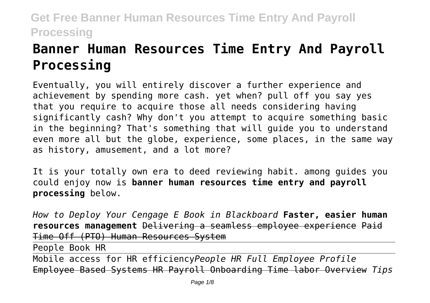# **Banner Human Resources Time Entry And Payroll Processing**

Eventually, you will entirely discover a further experience and achievement by spending more cash. yet when? pull off you say yes that you require to acquire those all needs considering having significantly cash? Why don't you attempt to acquire something basic in the beginning? That's something that will guide you to understand even more all but the globe, experience, some places, in the same way as history, amusement, and a lot more?

It is your totally own era to deed reviewing habit. among guides you could enjoy now is **banner human resources time entry and payroll processing** below.

*How to Deploy Your Cengage E Book in Blackboard* **Faster, easier human resources management** Delivering a seamless employee experience Paid Time Off (PTO) Human Resources System

People Book HR

Mobile access for HR efficiency*People HR Full Employee Profile* Employee Based Systems HR Payroll Onboarding Time labor Overview *Tips*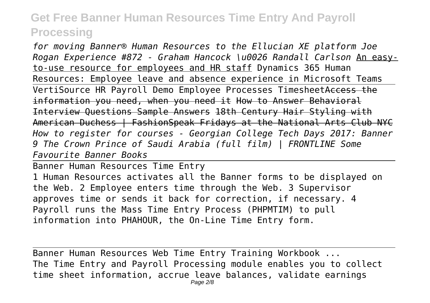*for moving Banner® Human Resources to the Ellucian XE platform Joe Rogan Experience #872 - Graham Hancock \u0026 Randall Carlson* An easyto-use resource for employees and HR staff Dynamics 365 Human Resources: Employee leave and absence experience in Microsoft Teams VertiSource HR Payroll Demo Employee Processes TimesheetAccess the information you need, when you need it How to Answer Behavioral Interview Questions Sample Answers 18th Century Hair Styling with American Duchess | FashionSpeak Fridays at the National Arts Club NYC *How to register for courses - Georgian College Tech Days 2017: Banner 9 The Crown Prince of Saudi Arabia (full film) | FRONTLINE Some Favourite Banner Books*

Banner Human Resources Time Entry 1 Human Resources activates all the Banner forms to be displayed on the Web. 2 Employee enters time through the Web. 3 Supervisor approves time or sends it back for correction, if necessary. 4 Payroll runs the Mass Time Entry Process (PHPMTIM) to pull information into PHAHOUR, the On-Line Time Entry form.

Banner Human Resources Web Time Entry Training Workbook ... The Time Entry and Payroll Processing module enables you to collect time sheet information, accrue leave balances, validate earnings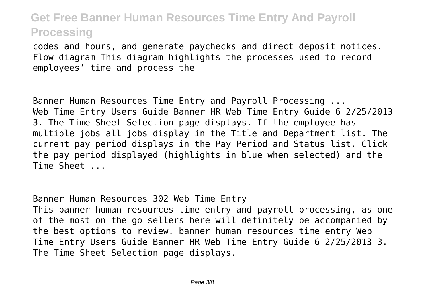codes and hours, and generate paychecks and direct deposit notices. Flow diagram This diagram highlights the processes used to record employees' time and process the

Banner Human Resources Time Entry and Payroll Processing ... Web Time Entry Users Guide Banner HR Web Time Entry Guide 6 2/25/2013 3. The Time Sheet Selection page displays. If the employee has multiple jobs all jobs display in the Title and Department list. The current pay period displays in the Pay Period and Status list. Click the pay period displayed (highlights in blue when selected) and the Time Sheet ...

Banner Human Resources 302 Web Time Entry This banner human resources time entry and payroll processing, as one of the most on the go sellers here will definitely be accompanied by the best options to review. banner human resources time entry Web Time Entry Users Guide Banner HR Web Time Entry Guide 6 2/25/2013 3. The Time Sheet Selection page displays.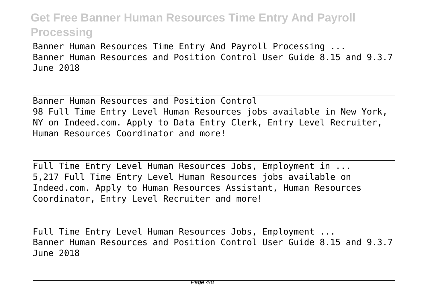Banner Human Resources Time Entry And Payroll Processing ... Banner Human Resources and Position Control User Guide 8.15 and 9.3.7 June 2018

Banner Human Resources and Position Control 98 Full Time Entry Level Human Resources jobs available in New York, NY on Indeed.com. Apply to Data Entry Clerk, Entry Level Recruiter, Human Resources Coordinator and more!

Full Time Entry Level Human Resources Jobs, Employment in ... 5,217 Full Time Entry Level Human Resources jobs available on Indeed.com. Apply to Human Resources Assistant, Human Resources Coordinator, Entry Level Recruiter and more!

Full Time Entry Level Human Resources Jobs, Employment ... Banner Human Resources and Position Control User Guide 8.15 and 9.3.7 June 2018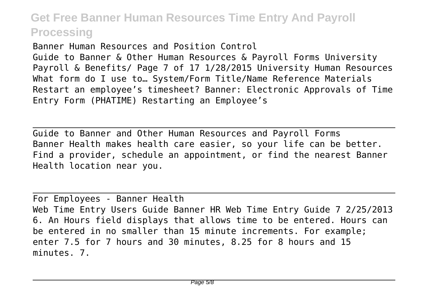Banner Human Resources and Position Control Guide to Banner & Other Human Resources & Payroll Forms University Payroll & Benefits/ Page 7 of 17 1/28/2015 University Human Resources What form do I use to… System/Form Title/Name Reference Materials Restart an employee's timesheet? Banner: Electronic Approvals of Time Entry Form (PHATIME) Restarting an Employee's

Guide to Banner and Other Human Resources and Payroll Forms Banner Health makes health care easier, so your life can be better. Find a provider, schedule an appointment, or find the nearest Banner Health location near you.

For Employees - Banner Health Web Time Entry Users Guide Banner HR Web Time Entry Guide 7 2/25/2013 6. An Hours field displays that allows time to be entered. Hours can be entered in no smaller than 15 minute increments. For example; enter 7.5 for 7 hours and 30 minutes, 8.25 for 8 hours and 15 minutes. 7.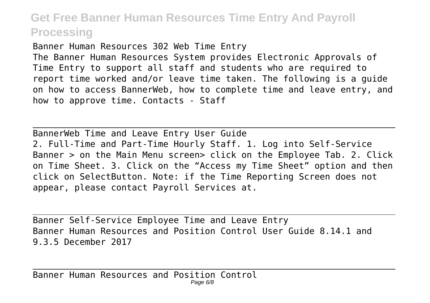Banner Human Resources 302 Web Time Entry The Banner Human Resources System provides Electronic Approvals of Time Entry to support all staff and students who are required to report time worked and/or leave time taken. The following is a guide on how to access BannerWeb, how to complete time and leave entry, and how to approve time. Contacts - Staff

BannerWeb Time and Leave Entry User Guide 2. Full-Time and Part-Time Hourly Staff. 1. Log into Self-Service Banner > on the Main Menu screen> click on the Employee Tab. 2. Click on Time Sheet. 3. Click on the "Access my Time Sheet" option and then click on SelectButton. Note: if the Time Reporting Screen does not appear, please contact Payroll Services at.

Banner Self-Service Employee Time and Leave Entry Banner Human Resources and Position Control User Guide 8.14.1 and 9.3.5 December 2017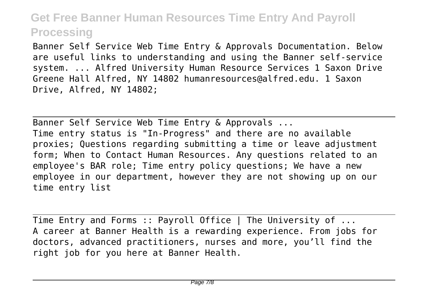Banner Self Service Web Time Entry & Approvals Documentation. Below are useful links to understanding and using the Banner self-service system. ... Alfred University Human Resource Services 1 Saxon Drive Greene Hall Alfred, NY 14802 humanresources@alfred.edu. 1 Saxon Drive, Alfred, NY 14802;

Banner Self Service Web Time Entry & Approvals ... Time entry status is "In-Progress" and there are no available proxies; Questions regarding submitting a time or leave adjustment form; When to Contact Human Resources. Any questions related to an employee's BAR role; Time entry policy questions; We have a new employee in our department, however they are not showing up on our time entry list

Time Entry and Forms :: Payroll Office | The University of ... A career at Banner Health is a rewarding experience. From jobs for doctors, advanced practitioners, nurses and more, you'll find the right job for you here at Banner Health.